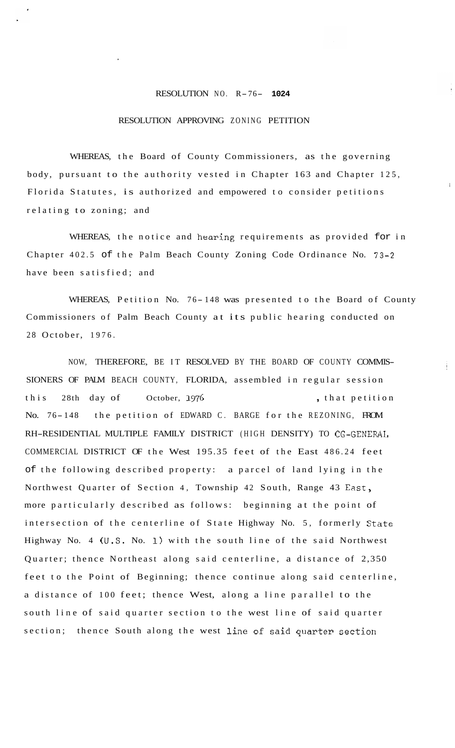## RESOLUTION NO. R-76- **<sup>1024</sup>**

## RESOLUTION APPROVING ZONING PETITION

WHEREAS, the Board of County Commissioners, as the governing body, pursuant to the authority vested in Chapter 163 and Chapter 125, Florida Statutes, is authorized and empowered to consider petitions relating to zoning; and

WHEREAS, the notice and hearing requirements as provided for in Chapter 402.5 of the Palm Beach County Zoning Code Ordinance No. 73-2 have been satisfied; and

WHEREAS, Petition No. 76-148 was presented to the Board of County Commissioners of Palm Beach County at its public hearing conducted on 28 October, 1976.

NOW, THEREFORE, BE IT RESOLVED BY THE BOARD OF COUNTY COMMIS-SIONERS OF PALM BEACH COUNTY, FLORIDA, assembled in regular session this 28th day of October, 1976 , that petition No. 76-148 the petition of EDWARD C. BARGE for the REZONING, FROM RH-RESIDENTIAL MULTIPLE FAMILY DISTRICT (HIGH DENSITY) TO CG-GENERAL COMMERCIAL DISTRICT OF the West 195.35 feet of the East 486.24 feet of the following described property: a parcel of land lying in the Northwest Quarter of Section 4, Township 42 South, Range 43 East, more particularly described as follows: beginning at the point of intersection of the centerline of State Highway No. 5, formerly State Highway No. 4 (U.S. No. **1)** with the south line of the said Northwest Quarter; thence Northeast along said centerline, a distance of 2,350 feet to the Point of Beginning; thence continue along said centerline, a distance of 100 feet; thence West, along a line parallel to the south line of said quarter section to the west line of said quarter section; thence South along the west line of said quarter section